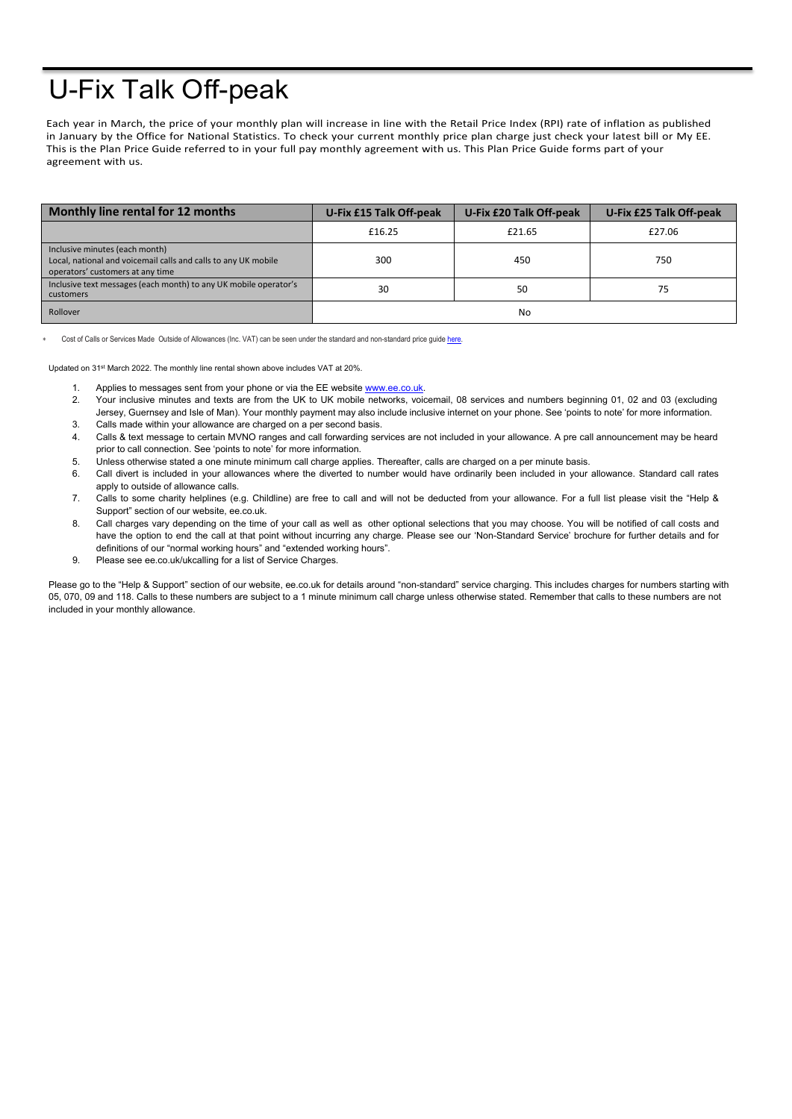## U-Fix Talk Off-peak

Each year in March, the price of your monthly plan will increase in line with the Retail Price Index (RPI) rate of inflation as published in January by the Office for National Statistics. To check your current monthly price plan charge just check your latest bill or My EE. This is the Plan Price Guide referred to in your full pay monthly agreement with us. This Plan Price Guide forms part of your agreement with us.

| Monthly line rental for 12 months                                                                                                    | <b>U-Fix £15 Talk Off-peak</b> | U-Fix £20 Talk Off-peak | U-Fix £25 Talk Off-peak |
|--------------------------------------------------------------------------------------------------------------------------------------|--------------------------------|-------------------------|-------------------------|
|                                                                                                                                      | £16.25                         | £21.65                  | £27.06                  |
| Inclusive minutes (each month)<br>Local, national and voicemail calls and calls to any UK mobile<br>operators' customers at any time | 300                            | 450                     | 750                     |
| Inclusive text messages (each month) to any UK mobile operator's<br>customers                                                        | 30                             | 50                      | 75                      |
| Rollover                                                                                                                             |                                | No                      |                         |

Cost of Calls or Services Made Outside of Allowances (Inc. VAT) can be seen under the standard and non-standard price guide here

Updated on 31st March 2022. The monthly line rental shown above includes VAT at 20%.

- 1. Applies to messages sent from your phone or via the EE website [www.ee.co.uk.](http://www.ee.co.uk/)
- 2. Your inclusive minutes and texts are from the UK to UK mobile networks, voicemail, 08 services and numbers beginning 01, 02 and 03 (excluding Jersey, Guernsey and Isle of Man). Your monthly payment may also include inclusive internet on your phone. See 'points to note' for more information.
- 3. Calls made within your allowance are charged on a per second basis.
- 4. Calls & text message to certain MVNO ranges and call forwarding services are not included in your allowance. A pre call announcement may be heard prior to call connection. See 'points to note' for more information.
- 5. Unless otherwise stated a one minute minimum call charge applies. Thereafter, calls are charged on a per minute basis.
- 6. Call divert is included in your allowances where the diverted to number would have ordinarily been included in your allowance. Standard call rates apply to outside of allowance calls.
- 7. Calls to some charity helplines (e.g. Childline) are free to call and will not be deducted from your allowance. For a full list please visit the "Help & Support" section of our website, ee.co.uk.
- 8. Call charges vary depending on the time of your call as well as other optional selections that you may choose. You will be notified of call costs and have the option to end the call at that point without incurring any charge. Please see our 'Non-Standard Service' brochure for further details and for definitions of our "normal working hours" and "extended working hours".
- 9. Please see ee.co.uk/ukcalling for a list of Service Charges.

Please go to the "Help & Support" section of our website, ee.co.uk for details around "non-standard" service charging. This includes charges for numbers starting with 05, 070, 09 and 118. Calls to these numbers are subject to a 1 minute minimum call charge unless otherwise stated. Remember that calls to these numbers are not included in your monthly allowance.